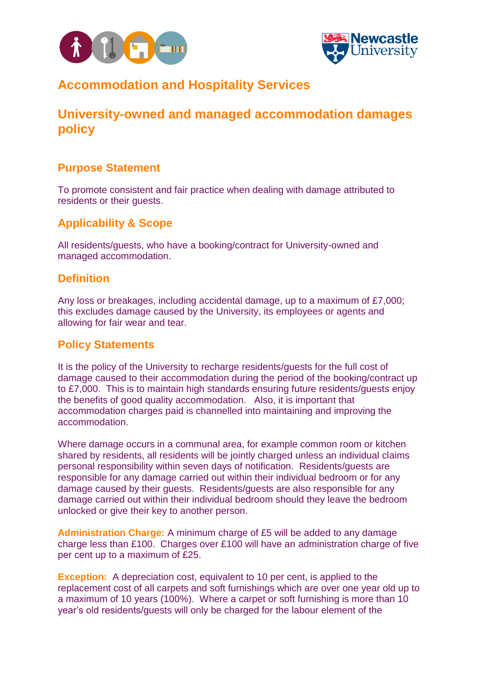



# **Accommodation and Hospitality Services**

# **University-owned and managed accommodation damages policy**

## **Purpose Statement**

To promote consistent and fair practice when dealing with damage attributed to residents or their guests.

## **Applicability & Scope**

All residents/guests, who have a booking/contract for University-owned and managed accommodation.

### **Definition**

Any loss or breakages, including accidental damage, up to a maximum of £7,000; this excludes damage caused by the University, its employees or agents and allowing for fair wear and tear.

### **Policy Statements**

It is the policy of the University to recharge residents/guests for the full cost of damage caused to their accommodation during the period of the booking/contract up to £7,000. This is to maintain high standards ensuring future residents/guests enjoy the benefits of good quality accommodation. Also, it is important that accommodation charges paid is channelled into maintaining and improving the accommodation.

Where damage occurs in a communal area, for example common room or kitchen shared by residents, all residents will be jointly charged unless an individual claims personal responsibility within seven days of notification. Residents/guests are responsible for any damage carried out within their individual bedroom or for any damage caused by their guests. Residents/guests are also responsible for any damage carried out within their individual bedroom should they leave the bedroom unlocked or give their key to another person.

**Administration Charge:** A minimum charge of £5 will be added to any damage charge less than £100. Charges over £100 will have an administration charge of five per cent up to a maximum of £25.

**Exception:** A depreciation cost, equivalent to 10 per cent, is applied to the replacement cost of all carpets and soft furnishings which are over one year old up to a maximum of 10 years (100%). Where a carpet or soft furnishing is more than 10 year's old residents/guests will only be charged for the labour element of the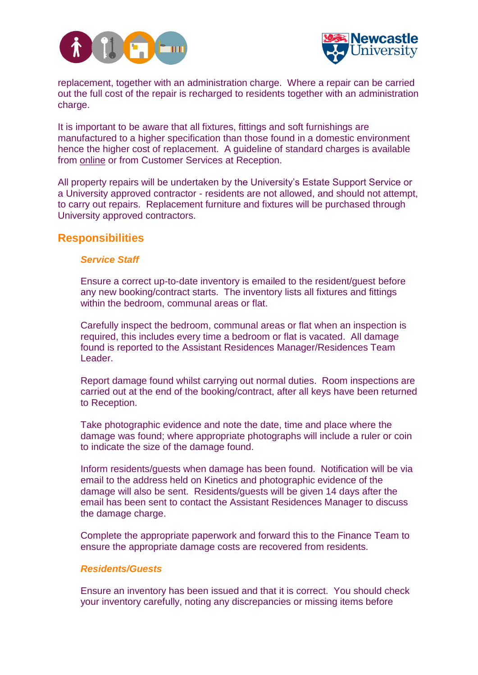



replacement, together with an administration charge. Where a repair can be carried out the full cost of the repair is recharged to residents together with an administration charge.

It is important to be aware that all fixtures, fittings and soft furnishings are manufactured to a higher specification than those found in a domestic environment hence the higher cost of replacement. A guideline of standard charges is available from [online](http://www.ncl.ac.uk/media/wwwnclacuk/accommodation/files/damages-replacement-costs.pdf) or from Customer Services at Reception.

All property repairs will be undertaken by the University's Estate Support Service or a University approved contractor - residents are not allowed, and should not attempt, to carry out repairs. Replacement furniture and fixtures will be purchased through University approved contractors.

#### **Responsibilities**

#### *Service Staff*

Ensure a correct up-to-date inventory is emailed to the resident/guest before any new booking/contract starts. The inventory lists all fixtures and fittings within the bedroom, communal areas or flat.

Carefully inspect the bedroom, communal areas or flat when an inspection is required, this includes every time a bedroom or flat is vacated. All damage found is reported to the Assistant Residences Manager/Residences Team Leader.

Report damage found whilst carrying out normal duties. Room inspections are carried out at the end of the booking/contract, after all keys have been returned to Reception.

Take photographic evidence and note the date, time and place where the damage was found; where appropriate photographs will include a ruler or coin to indicate the size of the damage found.

Inform residents/guests when damage has been found. Notification will be via email to the address held on Kinetics and photographic evidence of the damage will also be sent. Residents/guests will be given 14 days after the email has been sent to contact the Assistant Residences Manager to discuss the damage charge.

Complete the appropriate paperwork and forward this to the Finance Team to ensure the appropriate damage costs are recovered from residents.

#### *Residents/Guests*

Ensure an inventory has been issued and that it is correct. You should check your inventory carefully, noting any discrepancies or missing items before